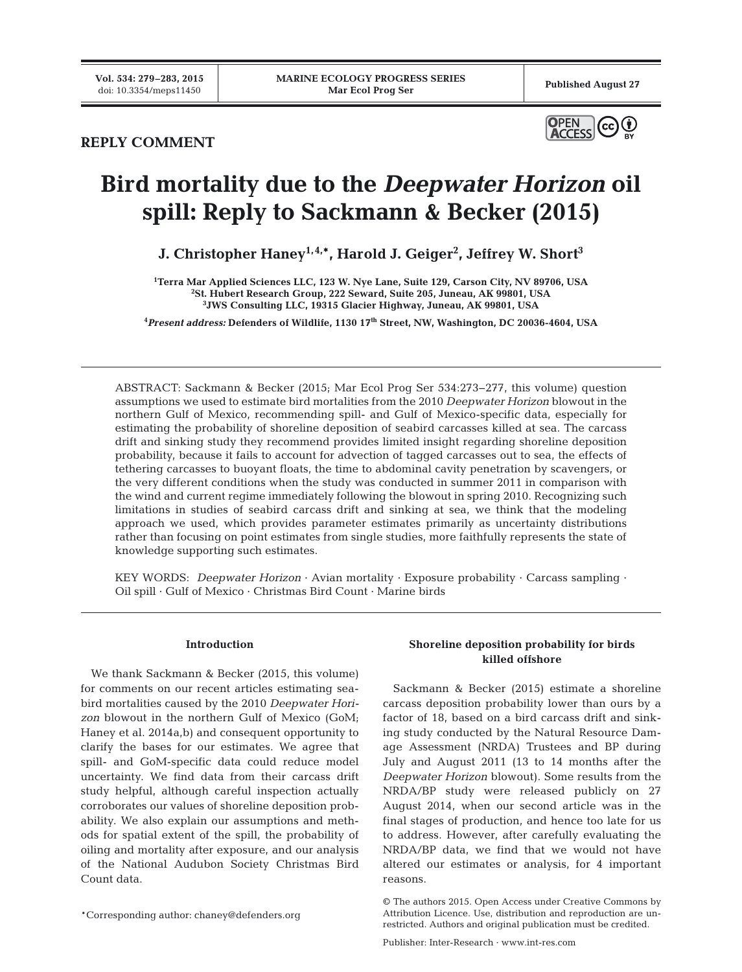# **REPLY COMMENT**



# **Bird mortality due to the** *Deepwater Horizon* **oil spill: Reply to Sackmann & Becker (2015)**

**J. Christopher Haney1,4,\*, Harold J. Geiger2 , Jeffrey W. Short3**

**1 Terra Mar Applied Sciences LLC, 123 W. Nye Lane, Suite 129, Carson City, NV 89706, USA 2 St. Hubert Research Group, 222 Seward, Suite 205, Juneau, AK 99801, USA 3 JWS Consulting LLC, 19315 Glacier Highway, Juneau, AK 99801, USA**

**4** *Present address:* **Defenders of Wildlife, 1130 17th Street, NW, Washington, DC 20036-4604, USA**

ABSTRACT: Sackmann & Becker (2015; Mar Ecol Prog Ser 534:273−277, this volume) question assumptions we used to estimate bird mortalities from the 2010 *Deepwater Horizon* blowout in the northern Gulf of Mexico, recommending spill- and Gulf of Mexico-specific data, especially for estimating the probability of shoreline deposition of seabird carcasses killed at sea. The carcass drift and sinking study they recommend provides limited insight regarding shoreline deposition probability, because it fails to account for advection of tagged carcasses out to sea, the effects of tethering carcasses to buoyant floats, the time to abdominal cavity penetration by scavengers, or the very different conditions when the study was conducted in summer 2011 in comparison with the wind and current regime immediately following the blowout in spring 2010. Recognizing such limitations in studies of seabird carcass drift and sinking at sea, we think that the modeling approach we used, which provides parameter estimates primarily as uncertainty distributions rather than focusing on point estimates from single studies, more faithfully represents the state of knowledge supporting such estimates.

KEY WORDS: *Deepwater Horizon* · Avian mortality · Exposure probability · Carcass sampling · Oil spill · Gulf of Mexico · Christmas Bird Count · Marine birds

## **Introduction**

We thank Sackmann & Becker (2015, this volume) for comments on our recent articles estimating seabird mortalities caused by the 2010 *Deepwater Horizon* blowout in the northern Gulf of Mexico (GoM; Haney et al. 2014a,b) and consequent opportunity to clarify the bases for our estimates. We agree that spill- and GoM-specific data could reduce model uncertainty. We find data from their carcass drift study helpful, although careful inspection actually corroborates our values of shoreline deposition probability. We also explain our assumptions and methods for spatial extent of the spill, the probability of oiling and mortality after exposure, and our analysis of the National Audubon Society Christmas Bird Count data.

\*Corresponding author: chaney@defenders.org

# **Shoreline deposition probability for birds killed offshore**

Sackmann & Becker (2015) estimate a shoreline carcass deposition probability lower than ours by a factor of 18, based on a bird carcass drift and sinking study conducted by the Natural Resource Damage Assessment (NRDA) Trustees and BP during July and August 2011 (13 to 14 months after the *Deepwater Horizon* blowout). Some results from the NRDA/BP study were released publicly on 27 August 2014, when our second article was in the final stages of production, and hence too late for us to address. However, after carefully evaluating the NRDA/BP data, we find that we would not have altered our estimates or analysis, for 4 important reasons.

<sup>©</sup> The authors 2015. Open Access under Creative Commons by Attribution Licence. Use, distribution and reproduction are unrestricted. Authors and original publication must be credited.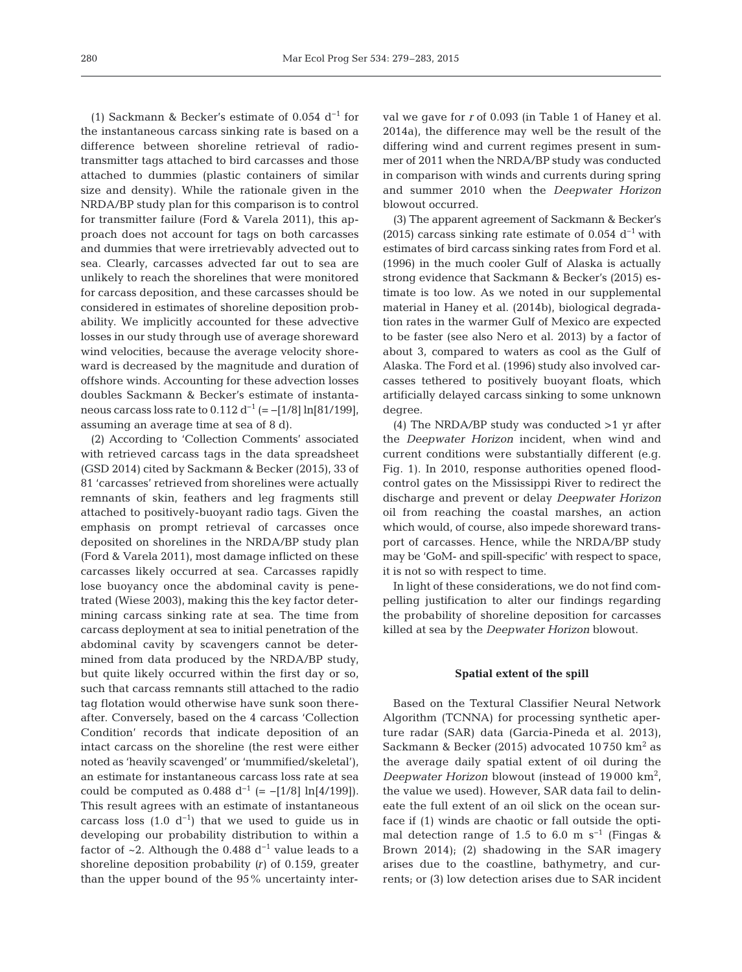(1) Sackmann & Becker's estimate of 0.054 d<sup>-1</sup> for the instantaneous carcass sinking rate is based on a difference between shoreline retrieval of radiotransmitter tags attached to bird carcasses and those attached to dummies (plastic containers of similar size and density). While the rationale given in the NRDA/BP study plan for this comparison is to control for transmitter failure (Ford & Varela 2011), this approach does not account for tags on both carcasses and dummies that were irretrievably advected out to sea. Clearly, carcasses advected far out to sea are unlikely to reach the shorelines that were monitored for carcass deposition, and these carcasses should be considered in estimates of shoreline deposition probability. We implicitly accounted for these advective losses in our study through use of average shoreward wind velocities, because the average velocity shoreward is decreased by the magnitude and duration of offshore winds. Accounting for these advection losses doubles Sackmann & Becker's estimate of instantaneous carcass loss rate to  $0.112 d^{-1}$  (= -[1/8] ln[81/199], assuming an average time at sea of 8 d).

(2) According to 'Collection Comments' associated with retrieved carcass tags in the data spreadsheet (GSD 2014) cited by Sackmann & Becker (2015), 33 of 81 'carcasses' retrieved from shorelines were actually remnants of skin, feathers and leg fragments still attached to positively-buoyant radio tags. Given the emphasis on prompt retrieval of carcasses once deposited on shorelines in the NRDA/BP study plan (Ford & Varela 2011), most damage inflicted on these carcasses likely occurred at sea. Carcasses rapidly lose buoyancy once the abdominal cavity is penetrated (Wiese 2003), making this the key factor determining carcass sinking rate at sea. The time from carcass deployment at sea to initial penetration of the abdominal cavity by scavengers cannot be determined from data produced by the NRDA/BP study, but quite likely occurred within the first day or so, such that carcass remnants still attached to the radio tag flotation would otherwise have sunk soon thereafter. Conversely, based on the 4 carcass 'Collection Condition' records that indicate deposition of an intact carcass on the shoreline (the rest were either noted as 'heavily scavenged' or 'mummified/skeletal'), an estimate for instantaneous carcass loss rate at sea could be computed as  $0.488 \, \mathrm{d}^{-1}$  (= -[1/8] ln[4/199]). This result agrees with an estimate of instantaneous carcass loss  $(1.0 d<sup>-1</sup>)$  that we used to guide us in developing our probability distribution to within a factor of ~2. Although the 0.488  $d^{-1}$  value leads to a shoreline deposition probability *(r)* of 0.159, greater than the upper bound of the 95% uncertainty interval we gave for *r* of 0.093 (in Table 1 of Haney et al. 2014a), the difference may well be the result of the differing wind and current regimes present in summer of 2011 when the NRDA/BP study was conducted in comparison with winds and currents during spring and summer 2010 when the *Deepwater Horizon* blowout occurred.

(3) The apparent agreement of Sackmann & Becker's (2015) carcass sinking rate estimate of 0.054  $d^{-1}$  with estimates of bird carcass sinking rates from Ford et al. (1996) in the much cooler Gulf of Alaska is actually strong evidence that Sackmann & Becker's (2015) estimate is too low. As we noted in our supplemental material in Haney et al. (2014b), biological degradation rates in the warmer Gulf of Mexico are expected to be faster (see also Nero et al. 2013) by a factor of about 3, compared to waters as cool as the Gulf of Alaska. The Ford et al. (1996) study also involved carcasses tethered to positively buoyant floats, which artificially delayed carcass sinking to some unknown degree.

(4) The NRDA/BP study was conducted  $>1$  yr after the *Deepwater Horizon* incident, when wind and current conditions were substantially different (e.g. Fig. 1). In 2010, response authorities opened floodcontrol gates on the Mississippi River to redirect the discharge and prevent or delay *Deepwater Horizon* oil from reaching the coastal marshes, an action which would, of course, also impede shoreward transport of carcasses. Hence, while the NRDA/BP study may be 'GoM- and spill-specific' with respect to space, it is not so with respect to time.

In light of these considerations, we do not find compelling justification to alter our findings regarding the probability of shoreline deposition for carcasses killed at sea by the *Deepwater Horizon* blowout.

#### **Spatial extent of the spill**

Based on the Textural Classifier Neural Network Algorithm (TCNNA) for processing synthetic aperture radar (SAR) data (Garcia-Pineda et al. 2013), Sackmann & Becker (2015) advocated 10 750 km2 as the average daily spatial extent of oil during the Deepwater Horizon blowout (instead of 19000 km<sup>2</sup>, the value we used). However, SAR data fail to delineate the full extent of an oil slick on the ocean surface if (1) winds are chaotic or fall outside the optimal detection range of 1.5 to 6.0 m s<sup>-1</sup> (Fingas & Brown 2014); (2) shadowing in the SAR imagery arises due to the coastline, bathymetry, and currents; or (3) low detection arises due to SAR incident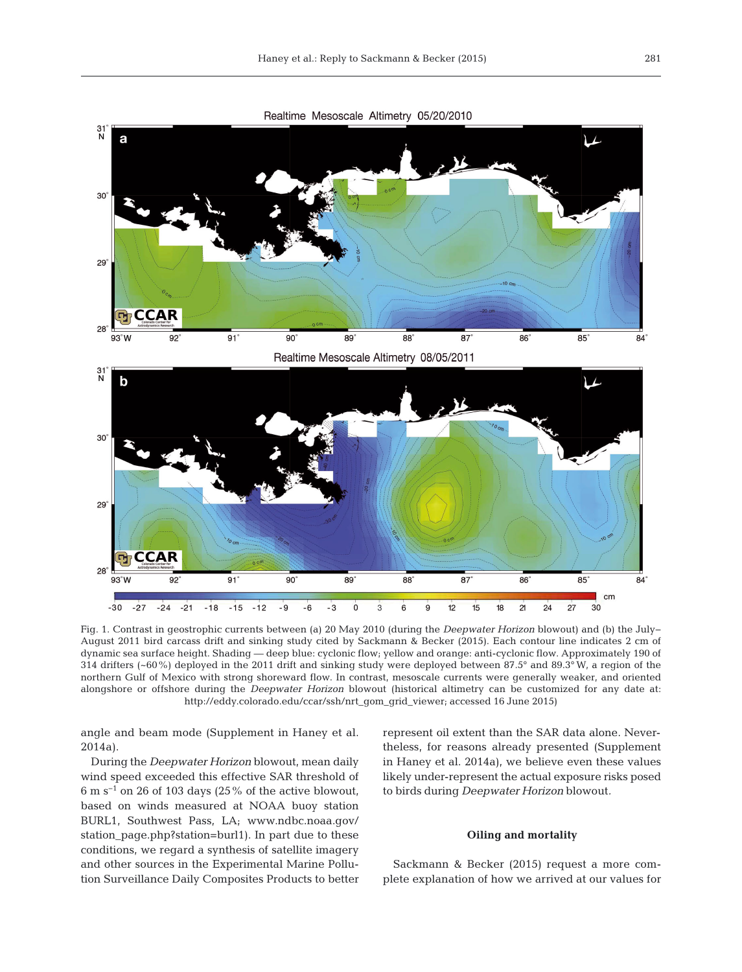

Fig. 1. Contrast in geostrophic currents between (a) 20 May 2010 (during the *Deepwater Horizon* blowout) and (b) the July− August 2011 bird carcass drift and sinking study cited by Sackmann & Becker (2015). Each contour line indicates 2 cm of dynamic sea surface height. Shading — deep blue: cyclonic flow; yellow and orange: anti-cyclonic flow. Approximately 190 of 314 drifters (~60%) deployed in the 2011 drift and sinking study were deployed between 87.5° and 89.3° W, a region of the northern Gulf of Mexico with strong shoreward flow. In contrast, mesoscale currents were generally weaker, and oriented alongshore or offshore during the *Deepwater Horizon* blowout (historical altimetry can be customized for any date at: http://eddy.colorado.edu/ccar/ssh/nrt\_gom\_grid\_viewer; accessed 16 June 2015)

angle and beam mode (Supplement in Haney et al. 2014a).

During the *Deepwater Horizon* blowout, mean daily wind speed exceeded this effective SAR threshold of 6 m s−1 on 26 of 103 days (25% of the active blowout, based on winds measured at NOAA buoy station BURL1, Southwest Pass, LA; www.ndbc.noaa.gov/ station\_page.php?station=burl1). In part due to these conditions, we regard a synthesis of satellite imagery and other sources in the Experimental Marine Pollution Surveillance Daily Composites Products to better represent oil extent than the SAR data alone. Nevertheless, for reasons already presented (Supplement in Haney et al. 2014a), we believe even these values likely under-represent the actual exposure risks posed to birds during *Deepwater Horizon* blowout*.*

#### **Oiling and mortality**

Sackmann & Becker (2015) request a more complete explanation of how we arrived at our values for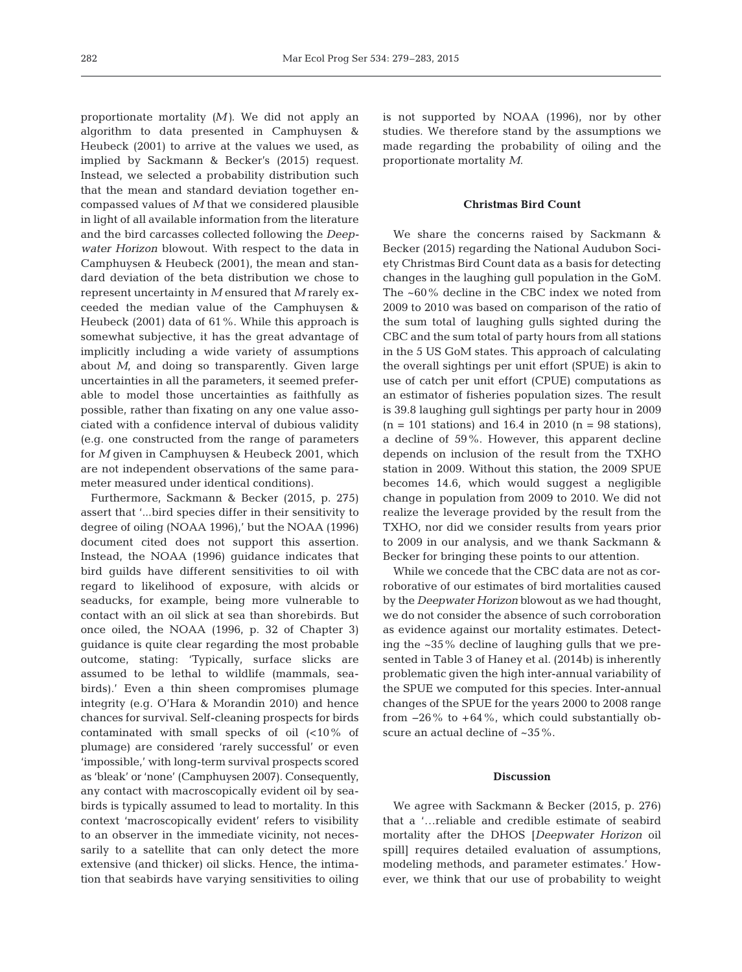proportionate mortality *(M)*. We did not apply an algorithm to data presented in Camphuysen & Heubeck (2001) to arrive at the values we used, as implied by Sackmann & Becker's (2015) request. Instead, we selected a probability distribution such that the mean and standard deviation together encompassed values of *M* that we considered plausible in light of all available information from the literature and the bird carcasses collected following the *Deepwater Horizon* blowout. With respect to the data in Camphuysen & Heubeck (2001), the mean and standard deviation of the beta distribution we chose to represent uncertainty in *M* ensured that *M* rarely ex ceeded the median value of the Camphuysen & Heubeck (2001) data of 61%. While this approach is somewhat subjective, it has the great advantage of implicitly including a wide variety of assumptions about *M*, and doing so transparently. Given large uncertainties in all the parameters, it seemed preferable to model those uncertainties as faithfully as possible, rather than fixating on any one value associated with a confidence interval of dubious validity (e.g. one constructed from the range of parameters for *M* given in Camphuysen & Heubeck 2001, which are not independent observations of the same para meter measured under identical conditions).

Furthermore, Sackmann & Becker (2015, p. 275) assert that '...bird species differ in their sensitivity to degree of oiling (NOAA 1996),' but the NOAA (1996) document cited does not support this assertion. Instead, the NOAA (1996) guidance indicates that bird guilds have different sensitivities to oil with regard to likelihood of exposure, with alcids or seaducks, for example, being more vulnerable to contact with an oil slick at sea than shorebirds. But once oiled, the NOAA (1996, p. 32 of Chapter 3) guidance is quite clear regarding the most probable outcome, stating: 'Typically, surface slicks are assumed to be lethal to wildlife (mammals, seabirds).' Even a thin sheen compromises plumage integrity (e.g. O'Hara & Morandin 2010) and hence chances for survival. Self-cleaning prospects for birds contaminated with small specks of oil (<10% of plumage) are considered 'rarely successful' or even 'impossible,' with long-term survival prospects scored as 'bleak' or 'none' (Camphuysen 2007). Consequently, any contact with macroscopically evident oil by seabirds is typically assumed to lead to mortality. In this context 'macroscopically evident' refers to visibility to an observer in the immediate vicinity, not necessarily to a satellite that can only detect the more extensive (and thicker) oil slicks. Hence, the intimation that seabirds have varying sensitivities to oiling

is not supported by NOAA (1996), nor by other studies. We therefore stand by the assumptions we made regarding the probability of oiling and the proportionate mortality *M*.

## **Christmas Bird Count**

We share the concerns raised by Sackmann & Becker (2015) regarding the National Audubon Society Christmas Bird Count data as a basis for detecting changes in the laughing gull population in the GoM. The ~60% decline in the CBC index we noted from 2009 to 2010 was based on comparison of the ratio of the sum total of laughing gulls sighted during the CBC and the sum total of party hours from all stations in the 5 US GoM states. This approach of calculating the overall sightings per unit effort (SPUE) is akin to use of catch per unit effort (CPUE) computations as an estimator of fisheries population sizes. The result is 39.8 laughing gull sightings per party hour in 2009  $(n = 101$  stations) and 16.4 in 2010  $(n = 98$  stations), a decline of 59%. However, this apparent decline depends on inclusion of the result from the TXHO station in 2009. Without this station, the 2009 SPUE becomes 14.6, which would suggest a negligible change in population from 2009 to 2010. We did not realize the leverage provided by the result from the TXHO, nor did we consider results from years prior to 2009 in our analysis, and we thank Sackmann & Becker for bringing these points to our attention.

While we concede that the CBC data are not as corroborative of our estimates of bird mortalities caused by the *Deepwater Horizon* blowout as we had thought, we do not consider the absence of such corroboration as evidence against our mortality estimates. Detecting the ~35% decline of laughing gulls that we presented in Table 3 of Haney et al. (2014b) is inherently problematic given the high inter-annual variability of the SPUE we computed for this species. Inter-annual changes of the SPUE for the years 2000 to 2008 range from  $-26\%$  to  $+64\%$ , which could substantially obscure an actual decline of ~35%.

## **Discussion**

We agree with Sackmann & Becker (2015, p. 276) that a '…reliable and credible estimate of seabird mortality after the DHOS [*Deepwater Horizon* oil spill] requires detailed evaluation of assumptions, modeling methods, and parameter estimates.' However, we think that our use of probability to weight